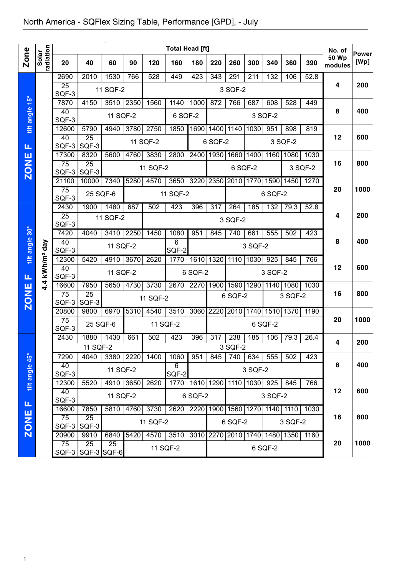|                |                        |                                                                             |                          |           |       |          | <b>Total Head [ft]</b>                       |                               |                |         |         |           |           |         | No. of                  | <b>Power</b> |
|----------------|------------------------|-----------------------------------------------------------------------------|--------------------------|-----------|-------|----------|----------------------------------------------|-------------------------------|----------------|---------|---------|-----------|-----------|---------|-------------------------|--------------|
| Zone           | radiation<br>Solar     | 20                                                                          | 40                       | 60        | 90    | 120      | 160                                          | 180                           | 220            | 260     | 300     | 340       | 360       | 390     | <b>50 Wp</b><br>modules | [Wp]         |
|                |                        | 2690                                                                        | 2010                     | 1530      | 766   | 528      | 449                                          | 423                           | 343            | 291     | 211     | 132       | 106       | 52.8    |                         |              |
|                |                        | $\overline{25}$<br>SQF-3                                                    |                          | 11 SQF-2  |       |          |                                              |                               |                | 3 SQF-2 |         |           |           |         | $\overline{\mathbf{4}}$ | 200          |
|                |                        | 7870                                                                        | 4150                     | 3510 2350 |       | 1560     | 1140                                         | 1000                          | 872            | 766     | 687     | 608       | 528       | 449     |                         |              |
| tilt angle 15° |                        | 40<br>SQF-3                                                                 |                          | 11 SQF-2  |       |          | 6 SQF-2                                      |                               |                |         |         | 3 SQF-2   |           |         | 8                       | 400          |
|                |                        | 12600                                                                       | 5790                     | 4940      | 3780  | 2750     | 1850                                         |                               | 1690 1400 1140 |         | 1030    | 951       | 898       | 819     |                         |              |
| Щ              |                        | 40<br>SQF-3                                                                 | $\overline{25}$<br>SQF-3 |           |       | 11 SQF-2 |                                              |                               | 6 SQF-2        |         |         |           | 3 SQF-2   |         | 12                      | 600          |
|                |                        | 17300                                                                       | 8320                     | 5600      | 4760  | 3830     | 2800                                         | 2400 1930 1660 1400           |                |         |         | 1160      | 1080      | 1030    |                         |              |
| <b>ZONE</b>    |                        | $\overline{75}$<br>SQF-3                                                    | $\overline{25}$<br>SQF-3 |           |       | 11 SQF-2 |                                              |                               |                |         | 6 SQF-2 |           |           | 3 SQF-2 | 16                      | 800          |
|                |                        | 21100                                                                       | 10000                    | 7340      | 5280  | 4570     | 3650                                         | 3220 2350 2010 1770           |                |         |         | 1590 1450 |           | 1270    |                         |              |
|                |                        | $\overline{75}$<br>SQF-3                                                    | 25 SQF-6                 |           |       |          | 11 SQF-2                                     |                               |                |         |         | 6 SQF-2   |           |         | 20                      | 1000         |
|                |                        | 2430                                                                        | 1900                     | 1480      | 687   | 502      | 423                                          | 396                           | 317            | 264     | 185     | 132       | 79.3      | 52.8    |                         |              |
|                |                        | $\overline{25}$<br>SQF-3                                                    |                          | 11 SQF-2  |       |          |                                              |                               |                | 3 SQF-2 |         |           |           |         | 4                       | 200          |
|                |                        | 7420                                                                        | 4040                     | 3410      | 2250  | 1450     | 1080                                         | 951                           | 845            | 740     | 661     | 555       | 502       | 423     |                         |              |
| tilt angle 30° |                        | 40                                                                          |                          | 11 SQF-2  |       |          | 6                                            |                               |                |         | 3 SQF-2 |           |           |         | 8                       | 400          |
|                |                        | SQF-3                                                                       |                          |           |       |          | SQF-2                                        |                               |                |         |         |           |           |         |                         |              |
|                |                        | 12300<br>40                                                                 | 5420                     | 4910      | 3670  | 2620     | 1770                                         |                               | 1610 1320      | 1110    | 1030    | 925       | 845       | 766     | 12                      | 600          |
| Щ              | kWh/m <sup>2</sup> day | SQF-3                                                                       |                          | 11 SQF-2  |       |          |                                              | 6 SQF-2                       |                |         |         | 3 SQF-2   |           |         |                         |              |
|                | 4.4                    | 16600                                                                       | 7950                     | 5650      | 4730  | 3730     | 2670                                         | 2270 1900 1590 1290           |                |         |         |           | 1140 1080 | 1030    |                         |              |
| <b>ZONE</b>    |                        | 75<br>SQF-3                                                                 | $\overline{25}$<br>SQF-3 |           |       | 11 SQF-2 |                                              |                               |                | 6 SQF-2 |         |           | 3 SQF-2   |         | 16                      | 800          |
|                |                        | 20800                                                                       | 9800                     | 6970      | 5310  | 4540     | 3510                                         | 3060 2220 2010 1740           |                |         |         |           | 1510 1370 | 1190    |                         |              |
|                |                        | $\overline{75}$<br>SQF-3                                                    | 25 SQF-6                 |           |       |          | 11 SQF-2                                     |                               |                |         |         | 6 SQF-2   |           |         | 20                      | 1000         |
|                |                        | 2430                                                                        | 1880                     | 1430      | 661   | 502      | 423                                          | 396                           | 317            | 238     | 185     | 106       | 79.3      | 26.4    | 4                       | 200          |
|                |                        |                                                                             | 11 SQF-2                 |           |       |          |                                              |                               |                | 3 SQF-2 |         |           |           |         |                         |              |
|                |                        | 7290                                                                        | 4040                     | 3380 2220 |       | 1400     | 1060                                         | 951                           | 845            | 740     | 634     | 555       | 502       | 423     |                         |              |
| tilt angle 45° |                        | 40                                                                          |                          | 11 SQF-2  |       |          | 6                                            |                               |                |         | 3 SQF-2 |           |           |         | 8                       | 400          |
|                |                        | SQF-3                                                                       |                          |           | SQF-2 |          |                                              |                               |                |         | 845     | 766       |           |         |                         |              |
|                |                        | 4910 3650<br>1610 1290 1110 1030 925<br>5520<br>1770<br>12300<br>2620<br>40 |                          |           |       |          |                                              |                               |                |         |         |           |           | 12      | 600                     |              |
| Щ              |                        | SQF-3                                                                       |                          | 11 SQF-2  |       |          |                                              | 6 SQF-2                       |                |         |         | 3 SQF-2   |           |         |                         |              |
|                |                        | 16600                                                                       | 7850                     | 5810 4760 |       | 3730     | 2620                                         | 2220 1900 1560 1270 1140 1110 |                |         |         |           |           | 1030    |                         |              |
| <b>ZONE</b>    |                        | 75<br>$SQF-3$                                                               | 25<br>SQF-3              |           |       | 11 SQF-2 |                                              |                               |                | 6 SQF-2 |         |           | 3 SQF-2   |         | 16                      | 800          |
|                |                        | 20900                                                                       | 9910                     | 6840      | 5420  |          | 4570 3510 3010 2270 2010 1740 1480 1350 1160 |                               |                |         |         |           |           |         |                         |              |
|                |                        | 75                                                                          | 25                       | 25        |       |          |                                              |                               |                |         |         |           |           |         | 20                      | 1000         |
|                |                        |                                                                             | SQF-3 SQF-3 SQF-6        |           |       |          | 11 SQF-2                                     |                               |                |         |         | 6 SQF-2   |           |         |                         |              |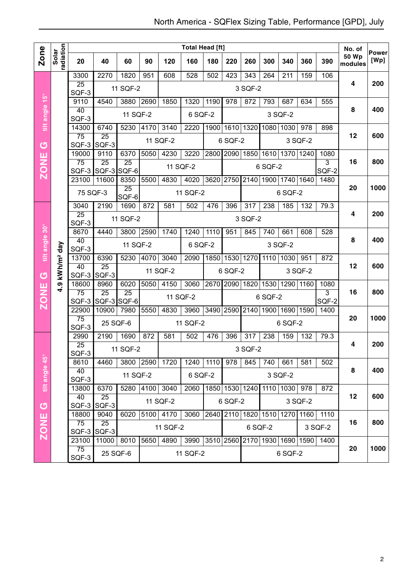|                         |                        |                          |                                |                 |      |                  | <b>Total Head [ft]</b>             |      |                |                  |                     |                  |           |                                    | No. of                  | <b>Power</b> |
|-------------------------|------------------------|--------------------------|--------------------------------|-----------------|------|------------------|------------------------------------|------|----------------|------------------|---------------------|------------------|-----------|------------------------------------|-------------------------|--------------|
| <b>Zone</b>             | radiation<br>Solar     | 20                       | 40                             | 60              | 90   | 120              | 160                                | 180  | 220            | 260              | 300                 | 340              | 360       | 390                                | <b>50 Wp</b><br>modules | [Wp]         |
|                         |                        | 3300                     | 2270                           | 1820            | 951  | 608              | 528                                | 502  | 423            | $\overline{343}$ | 264                 | $\overline{211}$ | 159       | 106                                |                         |              |
|                         |                        | 25<br>SQF-3              |                                | 11 SQF-2        |      |                  |                                    |      |                | 3 SQF-2          |                     |                  |           |                                    | 4                       | 200          |
|                         |                        | 9110                     | 4540                           | 3880            | 2690 | 1850             | 1320                               | 1190 | 978            | 872              | 793                 | 687              | 634       | 555                                |                         |              |
| tilt angle 15°          |                        | 40<br>SQF-3              |                                | 11 SQF-2        |      |                  | 6 SQF-2                            |      |                |                  |                     | 3 SQF-2          |           |                                    | 8                       | 400          |
|                         |                        | 14300                    | 6740                           | 5230            | 4170 | 3140             | 2220                               | 1900 |                |                  | 1610 1320 1080 1030 |                  | 978       | 898                                |                         |              |
| $\sigma$                |                        | $\overline{75}$<br>SQF-3 | $\overline{25}$<br>SQF-3       |                 |      | 11 SQF-2         |                                    |      | 6 SQF-2        |                  |                     |                  | 3 SQF-2   |                                    | 12                      | 600          |
| ш                       |                        | 19000                    | 9110                           | 6370            | 5050 | 4230             | 3220                               | 2800 | 2090           | 1850             | 1610                |                  | 1370 1240 | 1080                               |                         |              |
| <b>NOZ</b>              |                        | $\overline{75}$<br>SQF-3 | $\overline{25}$<br>SQF-3 SQF-6 | $\overline{25}$ |      |                  | 11 SQF-2                           |      |                |                  | 6 SQF-2             |                  |           | $\overline{3}$<br>SQF-2            | 16                      | 800          |
|                         |                        | 23100                    | 11600                          | 8350            | 5500 | 4830             | 4020                               | 3620 | 2750           | 2140             | 1900                |                  | 1740 1640 | 1480                               |                         |              |
|                         |                        | 75 SQF-3                 |                                | 25<br>SQF-6     |      |                  | 11 SQF-2                           |      |                |                  |                     | 6 SQF-2          |           |                                    | 20                      | 1000         |
|                         |                        | 3040                     | 2190                           | 1690            | 872  | 581              | 502                                | 476  | 396            | 317              | 238                 | 185              | 132       | 79.3                               |                         |              |
|                         |                        | $\overline{25}$<br>SQF-3 |                                | 11 SQF-2        |      |                  |                                    |      |                | 3 SQF-2          |                     |                  |           |                                    | 4                       | 200          |
|                         |                        | 8670                     | 4440                           | 3800            | 2590 | 1740             | 1240                               | 1110 | 951            | 845              | 740                 | 661              | 608       | 528                                |                         |              |
| tilt angle 30°          |                        | 40<br>SQF-3              |                                | 11 SQF-2        |      |                  | 6 SQF-2                            |      |                |                  |                     | 3 SQF-2          |           |                                    | 8                       | 400          |
|                         |                        | 13700                    | 6390                           | 5230            | 4070 | 3040             | 2090                               | 1850 | 1530           | 1270             | 1110                | 1030             | 951       | 872                                |                         |              |
|                         | kWh/m <sup>2</sup> day | 40<br>SQF-3              | 25<br>SQF-3                    |                 |      | 11 SQF-2         |                                    |      | 6 SQF-2        |                  |                     |                  | 3 SQF-2   |                                    | 12                      | 600          |
| $\sigma$<br><b>ZONE</b> | <u>၈</u>               | 18600                    | 8960                           | 6020            | 5050 | 4150             | 3060                               | 2670 | 2090 1820      |                  | 1530                |                  | 1290 1160 | 1080                               |                         |              |
|                         | ÷                      | 75<br>SQF-3              | $\overline{25}$<br>SQF-3 SQF-6 | 25              |      |                  | 11 SQF-2                           |      |                |                  | 6 SQF-2             |                  |           | 3<br>SQF-2                         | 16                      | 800          |
|                         |                        | 22900                    | 10900                          | 7980            | 5550 | 4830             | 3960                               | 3490 | 2590 2140      |                  |                     | 1900 1690 1590   |           | 1400                               |                         |              |
|                         |                        | $\overline{75}$<br>SQF-3 | 25 SQF-6                       |                 |      |                  | 11 SQF-2                           |      |                |                  |                     | 6 SQF-2          |           |                                    | 20                      | 1000         |
|                         |                        | 2990                     | 2190                           | 1690            | 872  | 581              | 502                                | 476  | 396            | 317              | 238                 | 159              | 132       | 79.3                               |                         |              |
|                         |                        | $\overline{25}$<br>SQF-3 |                                | 11 SQF-2        |      |                  |                                    |      |                | 3 SQF-2          |                     |                  |           |                                    | 4                       | 200          |
|                         |                        | 8610                     | 4460                           | 3800 2590       |      | 1720             | 1240 1110                          |      | 978            | 845              | 740                 | 661              | 581       | 502                                |                         |              |
| tilt angle 45°          |                        | 40<br>SQF-3              |                                | 11 SQF-2        |      |                  | 6 SQF-2                            |      |                |                  |                     | 3 SQF-2          |           |                                    | 8                       | 400          |
|                         |                        | 13800                    | 6370                           | 5280 4100       |      | $\frac{1}{3040}$ | 2060                               |      | 1850 1530 1240 |                  |                     | 1110 1030        | 978       | 872                                |                         |              |
| $\sigma$                |                        | 40<br>SQF-3              | 25<br>SQF-3                    |                 |      | 11 SQF-2         |                                    |      | 6 SQF-2        |                  |                     |                  | 3 SQF-2   |                                    | 12                      | 600          |
|                         |                        | 18800                    | 9040                           | 6020            |      | 5100 4170        | 3060                               |      |                |                  |                     |                  |           | 2640 2110 1820 1510 1270 1160 1110 |                         |              |
| <b>ZONE</b>             |                        | 75<br>SQF-3 SQF-3        | 25                             |                 |      | 11 SQF-2         |                                    |      |                |                  | 6 SQF-2             |                  |           | 3 SQF-2                            | 16                      | 800          |
|                         |                        | 23100                    | 11000 8010                     |                 | 5650 | 4890             | 3990 3510 2560 2170 1930 1690 1590 |      |                |                  |                     |                  |           | 1400                               |                         |              |
|                         |                        | 75<br>SQF-3              | 25 SQF-6                       |                 |      |                  | 11 SQF-2                           |      |                |                  |                     | 6 SQF-2          |           |                                    | 20                      | 1000         |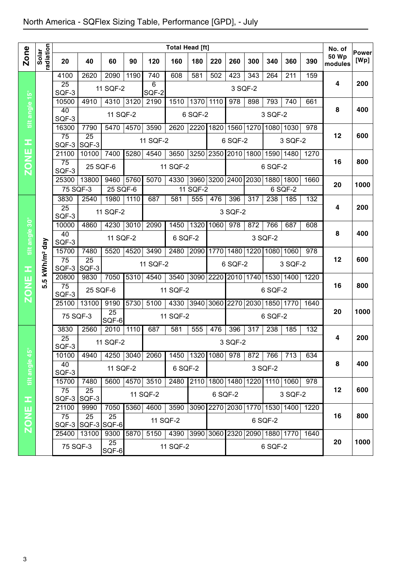|                |                          | <b>Total Head [ft]</b>   |                      |                    |      |            |                                    |                            |         |                  |                               |         |                          | No. of |                         |               |
|----------------|--------------------------|--------------------------|----------------------|--------------------|------|------------|------------------------------------|----------------------------|---------|------------------|-------------------------------|---------|--------------------------|--------|-------------------------|---------------|
| Zone           | radiation<br>Solar       | 20                       | 40                   | 60                 | 90   | 120        | 160                                | 180                        | 220     | 260              | 300                           | 340     | 360                      | 390    | <b>50 Wp</b><br>modules | Power<br>[Wp] |
|                |                          | 4100                     | 2620                 | 2090               | 1190 | 740        | 608                                | 581                        | 502     | 423              | 343                           | 264     | 211                      | 159    | $\overline{\mathbf{4}}$ | 200           |
|                |                          | $\overline{25}$<br>SQF-3 |                      | 11 SQF-2           |      | 6<br>SQF-2 |                                    |                            |         |                  | 3 SQF-2                       |         |                          |        |                         |               |
|                |                          | 10500                    | 4910                 | 4310 3120          |      | 2190       | 1510                               | 1370                       | 1110    | 978              | 898                           | 793     | 740                      | 661    |                         |               |
| tilt angle 15° |                          | 40<br>SQF-3              |                      | 11 SQF-2           |      |            |                                    | 6 SQF-2                    |         |                  |                               | 3 SQF-2 |                          |        | 8                       | 400           |
|                |                          | 16300                    | 7790                 | 5470               | 4570 | 3590       | 2620                               | 2220                       | 1820    | 1560             | 1270                          |         | 1080 1030                | 978    |                         |               |
| œ              |                          | $\overline{75}$          | 25                   |                    |      | 11 SQF-2   |                                    |                            |         | 6 SQF-2          |                               |         | 3 SQF-2                  |        | 12                      | 600           |
|                |                          | 21100                    | SQF-3 SQF-3<br>10100 | 7400               | 5280 | 4540       | 3650                               |                            |         |                  | 3250 2350 2010 1800 1590 1480 |         |                          | 1270   |                         |               |
| <b>ZONE</b>    |                          | $\overline{75}$          | 25 SQF-6             |                    |      |            | 11 SQF-2                           |                            |         |                  |                               | 6 SQF-2 |                          |        | 16                      | 800           |
|                |                          | SQF-3                    |                      |                    |      |            |                                    |                            |         |                  |                               |         |                          |        |                         |               |
|                |                          | 25300<br>75 SQF-3        | 13800                | 9460<br>$25$ SQF-6 | 5760 | 5070       | 4330                               | 3960 3200 2400<br>11 SQF-2 |         |                  | 2030                          |         | 1880 1800<br>6 SQF-2     | 1660   | 20                      | 1000          |
|                |                          | 3830                     | 2540                 | 1980               | 1110 | 687        | 581                                | 555                        | 476     | 396              | $\overline{317}$              | 238     | 185                      | 132    |                         |               |
|                |                          | $\overline{25}$          |                      | 11 SQF-2           |      |            |                                    |                            |         | 3 SQF-2          |                               |         |                          |        | 4                       | 200           |
|                |                          | SQF-3<br>10000           | 4860                 | 4230               | 3010 | 2090       | 1450                               | 1320                       | 1060    | $\overline{978}$ | 872                           | 766     | 687                      | 608    |                         |               |
| tilt angle 30° |                          | 40                       |                      | 11 SQF-2           |      |            | 6 SQF-2                            |                            |         |                  |                               | 3 SQF-2 |                          |        | 8                       | 400           |
|                |                          | SQF-3                    |                      |                    |      |            |                                    |                            |         |                  |                               |         |                          |        |                         |               |
|                | 5 kWh/m <sup>2</sup> day | 15700<br>$\overline{75}$ | 7480<br>25           | 5520               | 4520 | 3490       | 2480                               | 2090                       | 1770    | 1480             | 1220                          |         | 1080 1060                | 978    | 12                      | 600           |
| Ŧ              |                          |                          | SQF-3 SQF-3          |                    |      | 11 SQF-2   |                                    |                            |         | 6 SQF-2          |                               |         | 3 SQF-2                  |        |                         |               |
|                | ທ່                       | 20800<br>75              | 9830                 | 7050               | 5310 | 4540       | $\overline{3}540$                  | 3090 2220                  |         |                  | 2010 1740 1530 1400           |         |                          | 1220   | 16                      | 800           |
| <b>ZONE</b>    |                          | SQF-3                    | 25 SQF-6             |                    |      |            | 11 SQF-2                           |                            |         |                  |                               | 6 SQF-2 |                          |        |                         |               |
|                |                          | 25100                    | 13100                | 9190               | 5730 | 5100       | 4330                               | 3940                       | 3060    | 2270             | 2030                          |         | 1850 1770                | 1640   |                         |               |
|                |                          | 75 SQF-3                 |                      | 25<br>SQF-6        |      |            | 11 SQF-2                           |                            |         |                  |                               | 6 SQF-2 |                          |        | 20                      | 1000          |
|                |                          | 3830                     | 2560                 | 2010               | 1110 | 687        | 581                                | 555                        | 476     | 396              | 317                           | 238     | 185                      | 132    |                         |               |
|                |                          | $\overline{25}$<br>SQF-3 |                      | 11 SQF-2           |      |            |                                    |                            |         | 3 SQF-2          |                               |         |                          |        | 4                       | 200           |
|                |                          | 10100                    | 4940                 | 4250 3040          |      | 2060       | 1450 1320 1080 978                 |                            |         |                  | 872                           | 766     | 713                      | 634    |                         |               |
| tilt angle 45° |                          | 40                       |                      | 11 SQF-2           |      |            | 6 SQF-2                            |                            |         |                  |                               | 3 SQF-2 |                          |        | 8                       | 400           |
|                |                          | SQF-3<br>15700           | 7480                 | 5600               | 4570 | 3510       | 2480                               | 2110                       |         | 1800 1480        | 1220                          |         | 1110 1060                | 978    |                         |               |
|                |                          | 75                       | 25                   |                    |      | 11 SQF-2   |                                    |                            | 6 SQF-2 |                  |                               |         | 3 SQF-2                  |        | 12                      | 600           |
| œ              |                          |                          | SQF-3 SQF-3          |                    |      |            |                                    |                            |         |                  |                               |         |                          |        |                         |               |
|                |                          | 21100<br>75              | 9990<br>25           | 7050<br>25         | 5360 | 4600       | 3590                               | 3090                       |         |                  |                               |         | 2270 2030 1770 1530 1400 | 1220   | 16                      | 800           |
| ZONE           |                          |                          | SQF-3 SQF-3 SQF-6    |                    |      |            | 11 SQF-2                           |                            |         |                  |                               | 6 SQF-2 |                          |        |                         |               |
|                |                          | 25400                    | 13100                | 9300<br>25         | 5870 | 5150       | 4390 3990 3060 2320 2090 1880 1770 |                            |         |                  |                               |         |                          | 1640   | 20                      | 1000          |
|                |                          | 75 SQF-3                 |                      | SQF-6              |      |            | 11 SQF-2                           |                            |         |                  |                               | 6 SQF-2 |                          |        |                         |               |
|                |                          |                          |                      |                    |      |            |                                    |                            |         |                  |                               |         |                          |        |                         |               |
|                |                          |                          |                      |                    |      |            |                                    |                            |         |                  |                               |         |                          |        |                         |               |
|                |                          |                          |                      |                    |      |            |                                    |                            |         |                  |                               |         |                          |        |                         |               |
|                |                          |                          |                      |                    |      |            |                                    |                            |         |                  |                               |         |                          |        |                         |               |
|                |                          |                          |                      |                    |      |            |                                    |                            |         |                  |                               |         |                          |        |                         |               |
|                |                          |                          |                      |                    |      |            |                                    |                            |         |                  |                               |         |                          |        |                         |               |
|                |                          |                          |                      |                    |      |            |                                    |                            |         |                  |                               |         |                          |        |                         |               |
|                |                          |                          |                      |                    |      |            |                                    |                            |         |                  |                               |         |                          |        |                         |               |
| 3              |                          |                          |                      |                    |      |            |                                    |                            |         |                  |                               |         |                          |        |                         |               |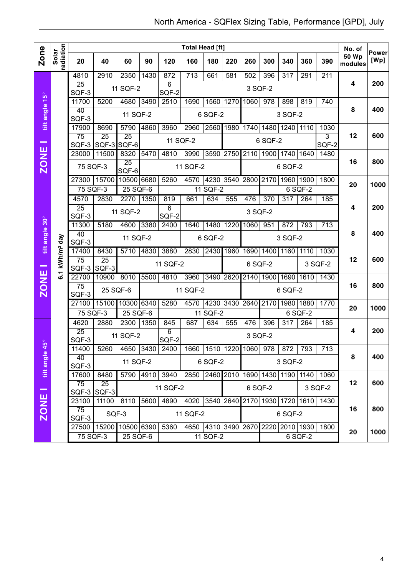|                          |                        |                         | <b>Total Head [ft]</b> |                 |      |                           |                                             |           |           |      |                     |                  |           |                                         | No. of           |                      |
|--------------------------|------------------------|-------------------------|------------------------|-----------------|------|---------------------------|---------------------------------------------|-----------|-----------|------|---------------------|------------------|-----------|-----------------------------------------|------------------|----------------------|
| <b>Zone</b>              | radiation<br>Solar     | 20                      | 40                     | 60              | 90   | 120                       | 160                                         | 180       | 220       | 260  | 300                 | 340              | 360       | 390                                     | 50 Wp<br>modules | <b>Power</b><br>[Wp] |
|                          |                        | 4810                    | 2910                   | 2350            | 1430 | 872                       | $\overline{713}$                            | 661       | 581       | 502  | 396                 | $\overline{317}$ | 291       | 211                                     |                  |                      |
|                          |                        | 25<br>SQF-3             |                        | 11 SQF-2        |      | 6<br>SQF-2                |                                             |           |           |      | 3 SQF-2             |                  |           |                                         | 4                | 200                  |
|                          |                        | 11700                   | 5200                   | 4680            | 3490 | 2510                      | 1690                                        | 1560      | 1270      | 1060 | 978                 | 898              | 819       | 740                                     |                  |                      |
| tilt angle 15°           |                        | 40<br>SQF-3             |                        | 11 SQF-2        |      |                           |                                             | 6 SQF-2   |           |      |                     | 3 SQF-2          |           |                                         | 8                | 400                  |
|                          |                        | 17900                   | 8690                   | 5790            | 4860 | 3960                      | 2960                                        |           | 2560 1980 |      | 1740 1480 1240 1110 |                  |           | 1030                                    |                  |                      |
| $\overline{\phantom{a}}$ |                        | 75<br>SQF-3 SQF-3 SQF-6 | $\overline{25}$        | $\overline{25}$ |      | 11 SQF-2                  |                                             |           |           |      | 6 SQF-2             |                  |           | 3<br>SQF-2                              | 12               | 600                  |
|                          |                        | 23000                   | 11500                  | 8320            | 5470 | 4810                      | 3990                                        |           | 3590 2750 | 2110 |                     | 1900 1740 1640   |           | 1480                                    |                  |                      |
| <b>ZONE</b>              |                        | 75 SQF-3                |                        | 25<br>SQF-6     |      |                           | 11 SQF-2                                    |           |           |      |                     | 6 SQF-2          |           |                                         | 16               | 800                  |
|                          |                        | 27300                   | 15700                  | 10500 6680      |      | 5260                      | 4570                                        | 4230      |           |      | 3540 2800 2170      |                  | 1960 1900 | 1800                                    | 20               | 1000                 |
|                          |                        | 75 SQF-3                |                        | 25 SQF-6        |      |                           |                                             | 11 SQF-2  |           |      |                     |                  | 6 SQF-2   |                                         |                  |                      |
|                          |                        | 4570                    | 2830                   | 2270            | 1350 | 819                       | 661                                         | 634       | 555       | 476  | 370                 | $\overline{317}$ | 264       | 185                                     |                  |                      |
|                          |                        | 25<br>SQF-3             |                        | 11 SQF-2        |      | 6<br>SQF-2                |                                             |           |           |      | 3 SQF-2             |                  |           |                                         | 4                | 200                  |
|                          |                        | 11300                   | 5180                   | 4600            | 3380 | 2400                      | 1640                                        | 1480      | 1220      | 1060 | 951                 | 872              | 793       | 713                                     |                  |                      |
| tilt angle 30°           |                        | 40<br>SQF-3             |                        | 11 SQF-2        |      |                           |                                             | 6 SQF-2   |           |      |                     | 3 SQF-2          |           |                                         | 8                | 400                  |
|                          |                        | 17400                   | 8430                   | 5710            | 4830 | 3880                      | 2830                                        | 2430 1960 |           |      | 1690 1400           | 1160             | 1110      | 1030                                    |                  |                      |
|                          | kWh/m <sup>2</sup> day | 75<br>SQF-3 SQF-3       | 25                     |                 |      | 11 SQF-2                  |                                             |           |           |      | 6 SQF-2             |                  |           | 3 SQF-2                                 | 12               | 600                  |
|                          | $\overline{6}$ .       | 22700                   | 10900                  | 8010            | 5500 | 4810                      | 3960                                        | 3490      | 2620      | 2140 | 1900                |                  | 1690 1610 | 1430                                    |                  |                      |
| <b>ZONE</b>              |                        | 75<br>SQF-3             | 25 SQF-6               |                 |      | 11 SQF-2                  |                                             |           |           |      | 6 SQF-2             |                  |           | 16                                      | 800              |                      |
|                          |                        | 27100                   | 15100                  | 10300 6340      |      | 5280                      | 4570                                        | 4230      |           |      | 3430 2640 2170      |                  | 1980 1880 | 1770                                    |                  | 1000                 |
|                          |                        | 75 SQF-3                |                        | 25 SQF-6        |      |                           |                                             | 11 SQF-2  |           |      |                     |                  | 6 SQF-2   |                                         | 20               |                      |
|                          |                        | 4620                    | 2880                   | 2300            | 1350 | 845                       | 687                                         | 634       | 555       | 476  | 396                 | $\overline{317}$ | 264       | 185                                     |                  |                      |
| $\frac{6}{5}$            |                        | 25<br>SQF-3             |                        | 11 SQF-2        |      | 6<br>SQF-2                |                                             |           |           |      | 3 SQF-2             |                  |           |                                         | 4                | 200                  |
| ч                        |                        | 11400                   |                        |                 |      | 5260   4650   3430   2400 | 1660   1510   1220   1060   978   872   793 |           |           |      |                     |                  |           | 713                                     |                  |                      |
| tilt angle               |                        | 40<br>SQF-3             |                        | 11 SQF-2        |      |                           | 6 SQF-2                                     |           |           |      | 3 SQF-2             |                  |           | 8                                       | 400              |                      |
|                          |                        | 17600                   | 8480                   |                 |      | 5790 4910 3940            |                                             |           |           |      |                     |                  |           | 2850 2460 2010 1690 1430 1190 1140 1060 |                  |                      |
|                          |                        | 75<br>SQF-3             | 25<br>SQF-3            |                 |      | 11 SQF-2                  |                                             |           |           |      | 6 SQF-2             |                  |           | 3 SQF-2                                 | 12               | 600                  |
|                          |                        | 23100                   | 11100                  | 8110            | 5600 | 4890                      | 4020 3540 2640 2170 1930 1720 1610 1430     |           |           |      |                     |                  |           |                                         |                  |                      |
| <b>ZONE</b>              |                        | 75<br>SQF-3             | SQF-3                  |                 |      |                           | 11 SQF-2                                    |           |           |      |                     | 6 SQF-2          |           |                                         | 16               | 800                  |
|                          |                        | 27500 15200 10500 6390  |                        |                 |      | 5360                      |                                             |           |           |      |                     |                  |           | 4650 4310 3490 2670 2220 2010 1930 1800 |                  |                      |
|                          |                        | 75 SQF-3                |                        | 25 SQF-6        |      |                           |                                             | 11 SQF-2  |           |      |                     |                  | 6 SQF-2   |                                         | 20               | 1000                 |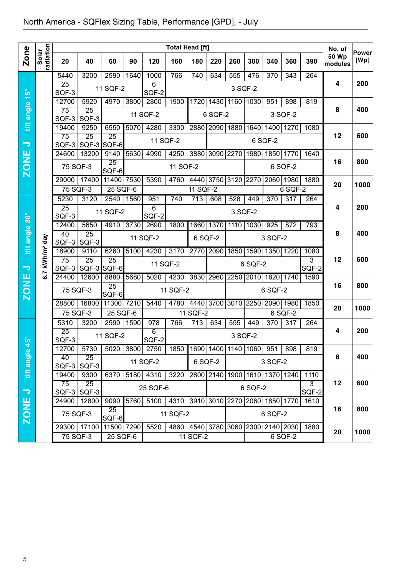|                                  |                           |                          |                          |                         |      |                    | <b>Total Head [ft]</b>             |                                        |                |                               |         |           |         |               | No. of                  |               |
|----------------------------------|---------------------------|--------------------------|--------------------------|-------------------------|------|--------------------|------------------------------------|----------------------------------------|----------------|-------------------------------|---------|-----------|---------|---------------|-------------------------|---------------|
| <b>Zone</b>                      | Solar<br>radiation        | 20                       | 40                       | 60                      | 90   | 120                | 160                                | 180                                    | 220            | 260                           | 300     | 340       | 360     | 390           | <b>50 Wp</b><br>modules | Power<br>[Wp] |
|                                  |                           | 5440                     | 3200                     | 2590                    | 1640 | 1000               | 766                                | 740                                    | 634            | 555                           | 476     | 370       | 343     | 264           |                         |               |
|                                  |                           | $\overline{25}$<br>SQF-3 |                          | 11 SQF-2                |      | 6<br>SQF-2         |                                    |                                        |                | 3 SQF-2                       |         |           |         |               | 4                       | 200           |
| $15^{\circ}$                     |                           | 12700                    | 5920                     | 4970                    | 3800 | 2800               | 1900                               |                                        |                | 1720 1430 1160                | 1030    | 951       | 898     | 819           |                         |               |
|                                  |                           | $\overline{75}$          | $\overline{25}$          |                         |      | 11 SQF-2           |                                    |                                        | 6 SQF-2        |                               |         |           | 3 SQF-2 |               | 8                       | 400           |
| tilt angle                       |                           | SQF-3<br>19400           | SQF-3<br>9250            | 6550                    | 5070 | 4280               | 3300                               |                                        | 2880 2090 1880 |                               | 1640    | 1400      | 1270    | 1080          |                         |               |
|                                  |                           | $\overline{75}$          | $\overline{25}$          | $\overline{25}$         |      |                    |                                    |                                        |                |                               |         |           |         |               | 12                      | 600           |
| $\overline{\phantom{a}}$         |                           | SQF-3                    |                          | SQF-3 SQF-6             |      |                    | 11 SQF-2                           |                                        |                |                               |         | 6 SQF-2   |         |               |                         |               |
|                                  |                           | 24600                    | 13200                    | 9140<br>$\overline{25}$ | 5630 | 4990               | 4250                               |                                        | 3880 3090 2270 |                               | 1980    | 1850 1770 |         | 1640          | 16                      | 800           |
| ZONE                             |                           | 75 SQF-3                 |                          | SQF-6                   |      |                    | 11 SQF-2                           |                                        |                |                               |         |           | 6 SQF-2 |               |                         |               |
|                                  |                           | 29000                    | 17400                    | 11400 7530              |      | 5390               | 4760                               |                                        |                | 4440 3750 3120 2270           |         | 2060      | 1980    | 1880          | 20                      | 1000          |
|                                  |                           | 75 SQF-3                 |                          | 25 SQF-6                |      |                    |                                    | 11 SQF-2                               |                |                               |         |           | 6 SQF-2 |               |                         |               |
|                                  |                           | 5230<br>$\overline{25}$  | 3120                     | 2540                    | 1560 | 951<br>6           | 740                                | 713                                    | 608            | 528                           | 449     | 370       | 317     | 264           | 4                       | 200           |
| $\overline{\mathbf{30}^{\circ}}$ |                           | SQF-3                    |                          | 11 SQF-2                |      | SQF-2              |                                    |                                        |                | 3 SQF-2                       |         |           |         |               |                         |               |
|                                  |                           | 12400                    | 5650                     | 4910                    | 3730 | 2690               | 1800                               |                                        | 1660 1370      | 1110                          | 1030    | 925       | 872     | 793           |                         |               |
| tilt angle                       |                           | 40<br>SQF-3              | $\overline{25}$<br>SQF-3 |                         |      | 11 SQF-2           |                                    | 6 SQF-2                                |                |                               |         | 3 SQF-2   |         |               | 8                       | 400           |
|                                  | .7 kWh/m <sup>2</sup> day | 18900                    | 9110                     | 6260                    | 5100 | 4230               | 3170                               |                                        | 2770 2090      | 1850   1590   1350   1220     |         |           |         | 1080          |                         |               |
|                                  |                           | $\overline{75}$          | $\overline{25}$          | $\overline{25}$         |      |                    | 11 SQF-2                           |                                        |                |                               | 6 SQF-2 |           |         | 3             | 12                      | 600           |
| っ                                | ဖ                         | SQF-3<br>24400           | SQF-3 SQF-6<br>12600     | 8880                    | 5680 | 5020               | 4230                               | 3830                                   | 2960           | 2250                          | 2010    | 1820      | 1740    | SQF-2<br>1590 |                         |               |
| <b>ZONE</b>                      |                           | 75 SQF-3                 |                          | $\overline{25}$         |      |                    | 11 SQF-2                           |                                        |                |                               |         | 6 SQF-2   |         |               | 16                      | 800           |
|                                  |                           |                          | 16800                    | SQF-6<br>11300 7210     |      | 5440               |                                    |                                        | 4440 3700 3010 |                               | 2250    | 2090 1980 |         |               |                         |               |
|                                  |                           | 28800<br>$75$ SQF-3      |                          | $25$ SQF-6              |      |                    | 4780                               | 11 SQF-2                               |                |                               |         |           | 6 SQF-2 | 1850          | 20                      | 1000          |
|                                  |                           | 5310                     | 3200                     | 2590                    | 1590 | 978                | 766                                | $\overline{713}$                       | 634            | 555                           | 449     | 370       | 317     | 264           |                         |               |
|                                  |                           | $\overline{25}$          |                          | 11 SQF-2                |      | 6                  |                                    |                                        |                | 3 SQF-2                       |         |           |         |               | 4                       | 200           |
| ິດ                               |                           | SQF-3<br>12700           | 5730                     | 5020                    |      | SQF-2<br>3800 2750 |                                    | 1850   1690   1400   1140   1060   951 |                |                               |         |           | 898     | 819           |                         |               |
| tilt angle                       |                           | 40                       | 25                       |                         |      | 11 SQF-2           |                                    |                                        | 6 SQF-2        |                               |         | 3 SQF-2   |         |               | 8                       | 400           |
|                                  |                           | $SQF-3$                  | SQF-3                    |                         |      |                    |                                    |                                        |                |                               |         |           |         |               |                         |               |
|                                  |                           | 19400<br>75              | 9300<br>$\overline{25}$  | 6370                    |      | 5180 4310          | 3220                               |                                        |                | 2800 2140 1900 1610 1370 1240 |         |           |         | 1110<br>3     | 12                      | 600           |
| $\overline{\phantom{m}}$         |                           |                          | SQF-3 SQF-3              |                         |      | 25 SQF-6           |                                    |                                        |                |                               | 6 SQF-2 |           |         | SQF-2         |                         |               |
|                                  |                           | 24900                    | 12800                    | 9090                    | 5760 | 5100               | 4310                               | 3910 3010 2270 2060 1850 1770          |                |                               |         |           |         | 1610          | 16                      | 800           |
| ZONE                             |                           | 75 SQF-3                 |                          | 25<br>SQF-6             |      |                    | 11 SQF-2                           |                                        |                |                               |         | 6 SQF-2   |         |               |                         |               |
|                                  |                           |                          | 29300 17100              | 11500 7290              |      | 5520               | 4860 4540 3780 3060 2300 2140 2030 |                                        |                |                               |         |           |         | 1880          | 20                      | 1000          |
|                                  |                           | 75 SQF-3                 |                          | 25 SQF-6                |      |                    |                                    | 11 SQF-2                               |                |                               |         |           | 6 SQF-2 |               |                         |               |
|                                  |                           |                          |                          |                         |      |                    |                                    |                                        |                |                               |         |           |         |               |                         |               |
|                                  |                           |                          |                          |                         |      |                    |                                    |                                        |                |                               |         |           |         |               |                         |               |
|                                  |                           |                          |                          |                         |      |                    |                                    |                                        |                |                               |         |           |         |               |                         |               |
|                                  |                           |                          |                          |                         |      |                    |                                    |                                        |                |                               |         |           |         |               |                         |               |
|                                  |                           |                          |                          |                         |      |                    |                                    |                                        |                |                               |         |           |         |               |                         |               |
|                                  |                           |                          |                          |                         |      |                    |                                    |                                        |                |                               |         |           |         |               |                         |               |
|                                  |                           |                          |                          |                         |      |                    |                                    |                                        |                |                               |         |           |         |               |                         |               |
|                                  |                           |                          |                          |                         |      |                    |                                    |                                        |                |                               |         |           |         |               |                         |               |
|                                  |                           |                          |                          |                         |      |                    |                                    |                                        |                |                               |         |           |         |               |                         |               |
| 5                                |                           |                          |                          |                         |      |                    |                                    |                                        |                |                               |         |           |         |               |                         |               |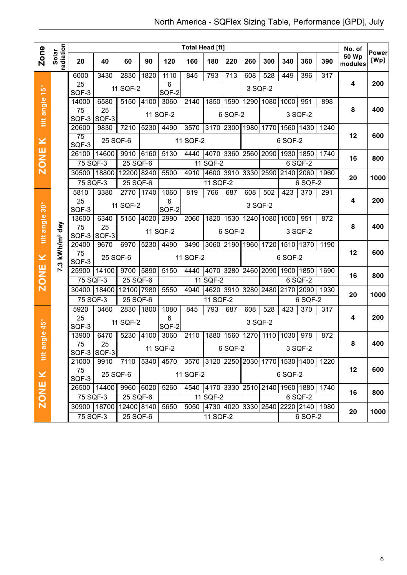|                   |                    |                       |                       |            |      |                                                   | <b>Total Head [ft]</b>                  |          |                     |      |                               |           |                               |      | No. of           | <b>Power</b> |
|-------------------|--------------------|-----------------------|-----------------------|------------|------|---------------------------------------------------|-----------------------------------------|----------|---------------------|------|-------------------------------|-----------|-------------------------------|------|------------------|--------------|
| <b>Zone</b>       | radiation<br>Solar | 20                    | 40                    | 60         | 90   | 120                                               | 160                                     | 180      | 220                 | 260  | 300                           | 340       | 360                           | 390  | 50 Wp<br>modules | [Wp]         |
|                   |                    | 6000                  | 3430                  | 2830       | 1820 | 1110                                              | 845                                     | 793      | 713                 | 608  | 528                           | 449       | 396                           | 317  |                  |              |
| $15^{\circ}$      |                    | 25<br>SQF-3           |                       | 11 SQF-2   |      | 6<br>SQF-2                                        |                                         |          |                     |      | 3 SQF-2                       |           |                               |      | 4                | 200          |
|                   |                    | 14000                 | 6580                  | 5150       | 4100 | 3060                                              | 2140                                    | 1850     | 1590 1290 1080      |      |                               | 1000      | 951                           | 898  |                  |              |
| tilt angle        |                    | 75<br>SQF-3           | 25<br>SQF-3           |            |      | 11 SQF-2                                          |                                         |          | 6 SQF-2             |      |                               |           | 3 SQF-2                       |      | 8                | 400          |
|                   |                    | 20600                 | 9830                  | 7210       | 5230 | 4490                                              | 3570                                    |          |                     |      | 3170 2300 1980 1770 1560 1430 |           |                               | 1240 |                  |              |
| $\pmb{\times}$    |                    | 75<br>SQF-3           | 25 SQF-6              |            |      |                                                   | 11 SQF-2                                |          |                     |      |                               | 6 SQF-2   |                               |      | 12               | 600          |
|                   |                    | 26100                 | 14600                 | 9910       | 6160 | 5130                                              | 4440                                    |          |                     |      | 4070 3360 2560 2090 1930 1850 |           |                               | 1740 | 16               | 800          |
| <b>ZONE</b>       |                    | 75 SQF-3              |                       | $25$ SQF-6 |      |                                                   |                                         | 11 SQF-2 |                     |      |                               |           | 6 SQF-2                       |      |                  |              |
|                   |                    | 30500                 | 18800                 | 12200 8240 |      | 5500                                              | 4910                                    |          | 4600 3910 3330 2590 |      |                               | 2140 2060 |                               | 1960 | 20               | 1000         |
|                   |                    | 75 SQF-3              |                       | 25 SQF-6   |      |                                                   |                                         | 11 SQF-2 |                     |      |                               |           | 6 SQF-2                       |      |                  |              |
|                   |                    | 5810                  | 3380                  | 2770       | 1740 | 1060                                              | 819                                     | 766      | 687                 | 608  | 502                           | 423       | $\overline{370}$              | 291  |                  |              |
| $30^{\circ}$      |                    | 25<br>SQF-3           |                       | 11 SQF-2   |      | $\overline{6}$<br>SQF-2                           |                                         |          |                     |      | 3 SQF-2                       |           |                               |      | 4                | 200          |
|                   |                    | 13600                 | 6340                  | 5150       | 4020 | 2990                                              | 2060                                    |          |                     |      | 1820 1530 1240 1080 1000      |           | 951                           | 872  |                  |              |
| tilt angle        | day                | 75<br>$SQF-3$ $SQF-3$ | 25                    |            |      | 11 SQF-2                                          |                                         |          | 6 SQF-2             |      |                               |           | 3 SQF-2                       |      | 8                | 400          |
|                   |                    | 20400                 | 9670                  | 6970       | 5230 | 4490                                              | 3490                                    |          | 3060 2190 1960 1720 |      |                               | 1510 1370 |                               | 1190 |                  |              |
| $\pmb{\times}$    | kWh/m <sup>2</sup> | 75<br>SQF-3           | 25 SQF-6              |            |      | 11 SQF-2                                          |                                         |          |                     |      | 6 SQF-2                       |           |                               | 12   | 600              |              |
|                   | 7.3                | 25900                 | 14100                 | 9700       | 5890 | 5150                                              | 4440                                    |          |                     |      | 4070 3280 2460 2090 1900 1850 |           |                               | 1690 |                  |              |
| <b>ZONE</b>       |                    | 75 SQF-3              |                       | 25 SQF-6   |      |                                                   |                                         | 11 SQF-2 |                     |      |                               |           | 6 SQF-2                       |      | 16               | 800          |
|                   |                    | 30400                 | 18400                 | 12100 7980 |      | 5550                                              | 4940                                    |          |                     |      |                               |           | 4620 3910 3280 2480 2170 2090 | 1930 | 20               | 1000         |
|                   |                    | 75 SQF-3              |                       | 25 SQF-6   |      |                                                   |                                         | 11 SQF-2 |                     |      |                               |           | 6 SQF-2                       |      |                  |              |
|                   |                    | 5920                  | 3460                  | 2830       | 1800 | 1080                                              | 845                                     | 793      | 687                 | 608  | 528                           | 423       | 370                           | 317  |                  |              |
| $45^{\circ}$      |                    | 25<br>SQF-3           |                       | 11 SQF-2   |      | 6<br>SQF-2                                        |                                         |          |                     |      | 3 SQF-2                       |           |                               |      | 4                | 200          |
|                   |                    | 13900                 | 6470                  | 5230       | 4100 | 3060                                              | 2110                                    | 1880     | 1560                | 1270 | 1110                          | 1030      | 978                           | 872  |                  |              |
| angle<br>$\equiv$ |                    | 75<br>SQF-3 SQF-3     | 25                    |            |      | 11 SQF-2                                          |                                         |          | 6 SQF-2             |      |                               |           | 3 SQF-2                       |      | 8                | 400          |
|                   |                    | 21000                 | 9910                  | 7110       |      | 5340 4570 3570 3120 2250 2030 1770 1530 1400 1220 |                                         |          |                     |      |                               |           |                               |      |                  |              |
| ZONE K            |                    | 75<br>SQF-3           | 25 SQF-6              |            |      |                                                   | 11 SQF-2                                |          |                     |      |                               | 6 SQF-2   |                               |      | 12               | 600          |
|                   |                    |                       | 26500 14400 9960 6020 |            |      | 5260                                              | 4540 4170 3330 2510 2140 1960 1880 1740 |          |                     |      |                               |           |                               |      | 16               | 800          |
|                   |                    | 75 SQF-3              |                       | 25 SQF-6   |      |                                                   |                                         | 11 SQF-2 |                     |      |                               |           | 6 SQF-2                       |      |                  |              |
|                   |                    |                       | 30900 18700           | 12400 8140 |      | 5650                                              | 5050 4730 4020 3330 2540 2220 2140 1980 |          |                     |      |                               |           |                               |      | 20               | 1000         |
|                   |                    | 75 SQF-3              |                       | 25 SQF-6   |      |                                                   |                                         | 11 SQF-2 |                     |      |                               |           | 6 SQF-2                       |      |                  |              |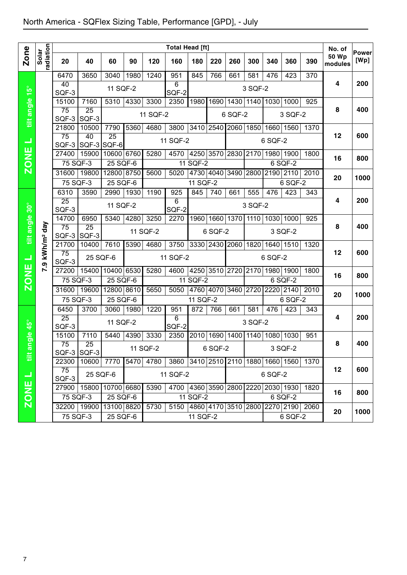|                |                        | <b>Total Head [ft]</b>   |                         |                        |      |           |                                    |                               |         |                               |                |                | No. of         |                                         |                         |                      |
|----------------|------------------------|--------------------------|-------------------------|------------------------|------|-----------|------------------------------------|-------------------------------|---------|-------------------------------|----------------|----------------|----------------|-----------------------------------------|-------------------------|----------------------|
| <b>Zone</b>    | radiation<br>Solar     | 20                       | 40                      | 60                     | 90   | 120       | 160                                | 180                           | 220     | 260                           | 300            | 340            | 360            | 390                                     | <b>50 Wp</b><br>modules | <b>Power</b><br>[Wp] |
|                |                        | 6470                     | 3650                    | 3040                   | 1980 | 1240      | 951                                | 845                           | 766     | 661                           | 581            | 476            | 423            | $\overline{370}$                        |                         |                      |
| $15^{\circ}$   |                        | 40                       |                         | 11 SQF-2               |      |           | $\overline{6}$                     |                               |         |                               | 3 SQF-2        |                |                |                                         | 4                       | 200                  |
|                |                        | SQF-3                    |                         |                        |      |           | SQF-2                              |                               |         |                               |                |                |                |                                         |                         |                      |
| tilt angle     |                        | 15100<br>$\overline{75}$ | 7160<br>$\overline{25}$ | 5310                   | 4330 | 3300      | 2350                               |                               |         | 1980 1690 1430 1140 1030 1000 |                |                |                | 925                                     | 8                       | 400                  |
|                |                        | SQF-3                    | SQF-3                   |                        |      | 11 SQF-2  |                                    |                               |         | 6 SQF-2                       |                |                | 3 SQF-2        |                                         |                         |                      |
|                |                        | 21800                    | 10500                   | 7790                   | 5360 | 4680      | 3800                               | 3410 2540                     |         |                               | 2060 1850 1660 |                | 1560           | 1370                                    |                         |                      |
| ⊐              |                        | $\overline{75}$          | 40                      | $\overline{25}$        |      |           | 11 SQF-2                           |                               |         |                               |                | 6 SQF-2        |                |                                         | 12                      | 600                  |
|                |                        | SQF-3                    | SQF-3                   | SQF-6                  |      |           |                                    |                               |         |                               |                |                |                |                                         |                         |                      |
| <b>ZONE</b>    |                        | 27400                    | 15900                   | 10600 6760             |      | 5280      | 4570                               | 4250 3570 2830 2170 1980 1900 |         |                               |                |                |                | 1800                                    | 16                      | 800                  |
|                |                        | 75 SQF-3                 | 19800                   | 25 SQF-6<br>12800 8750 |      |           | 5020                               | 11 SQF-2                      |         | 4730 4040 3490 2800 2190 2110 |                |                | 6 SQF-2        | 2010                                    |                         |                      |
|                |                        | 31600<br>75 SQF-3        |                         | 25 SQF-6               |      | 5600      |                                    | 11 SQF-2                      |         |                               |                |                | 6 SQF-2        |                                         | 20                      | 1000                 |
|                |                        | 6310                     | 3590                    | 2990                   | 1930 | 1190      | 925                                | 845                           | 740     | 661                           | 555            | 476            | 423            | 343                                     |                         |                      |
|                |                        | $\overline{25}$          |                         |                        |      |           | 6                                  |                               |         |                               |                |                |                |                                         | 4                       | 200                  |
|                |                        | SQF-3                    |                         | 11 SQF-2               |      |           | SQF-2                              |                               |         |                               | 3 SQF-2        |                |                |                                         |                         |                      |
|                |                        | 14700                    | 6950                    | 5340                   | 4280 | 3250      | 2270                               |                               |         | 1960   1660   1370   1110     |                | 1030           | 1000           | 925                                     |                         |                      |
| tilt angle 30° |                        | $\overline{75}$          | 25                      |                        |      | 11 SQF-2  |                                    |                               | 6 SQF-2 |                               |                |                | 3 SQF-2        |                                         | 8                       | 400                  |
|                |                        | SQF-3<br>21700           | SQF-3<br>10400          | 7610                   | 5390 | 4680      | 3750                               |                               |         | 3330 2430 2060                |                | 1820 1640 1510 |                | 1320                                    |                         |                      |
|                | kWh/m <sup>2</sup> day | 75                       |                         |                        |      |           |                                    |                               |         |                               |                |                |                |                                         | 12                      | 600                  |
| ᆜ              | <b>P.9</b>             | SQF-3                    | 25 SQF-6                |                        |      |           | 11 SQF-2                           |                               |         |                               |                | 6 SQF-2        |                |                                         |                         |                      |
|                |                        | 27200                    | 15400                   | 10400 6530             |      | 5280      | 4600                               | 4250 3510 2720 2170           |         |                               |                |                | 1980 1900      | 1800                                    | 16                      | 800                  |
| <b>ZONE</b>    |                        | 75 SQF-3                 |                         | 25 SQF-6               |      |           |                                    | 11 SQF-2                      |         |                               |                |                | 6 SQF-2        |                                         |                         |                      |
|                |                        | 31600                    | 19600                   | 12800 8610             |      | 5650      | 5050                               |                               |         | 4760 4070 3460 2720           |                |                | 2220 2140      | 2010                                    | 20                      | 1000                 |
|                |                        | 75 SQF-3<br>6450         | 3700                    | 25 SQF-6<br>3060       | 1980 | 1220      | 951                                | 11 SQF-2<br>872               | 766     | 661                           | 581            | 476            | 6 SQF-2<br>423 | 343                                     |                         |                      |
|                |                        | $\overline{25}$          |                         |                        |      |           | $\overline{6}$                     |                               |         |                               |                |                |                |                                         | 4                       | 200                  |
| ngle 45°       |                        | SQF-3                    |                         | 11 SQF-2               |      |           | SQF-2                              |                               |         |                               | 3 SQF-2        |                |                |                                         |                         |                      |
|                |                        | 15100                    | 7110                    | 5440                   | 4390 | 3330      | 2350                               |                               |         | 2010 1690 1400 1140 1080      |                |                | 1030           | 951                                     |                         |                      |
|                |                        | $\overline{75}$          | $\overline{25}$         |                        |      | 11 SQF-2  |                                    |                               | 6 SQF-2 |                               |                |                | 3 SQF-2        |                                         | 8                       | 400                  |
| tilt al        |                        | 22300                    | SQF-3 SQF-3<br>10600    | 7770                   |      | 5470 4780 | 3860 3410 2510 2110 1880 1660 1560 |                               |         |                               |                |                |                | 1370                                    |                         |                      |
|                |                        | 75                       |                         |                        |      |           |                                    |                               |         |                               |                |                |                |                                         | 12                      | 600                  |
| $\rightarrow$  |                        | SQF-3                    | 25 SQF-6                |                        |      |           | 11 SQF-2                           |                               |         |                               |                | 6 SQF-2        |                |                                         |                         |                      |
| <b>ZONE</b>    |                        | 27900                    |                         | 15800 10700 6680       |      | 5390      |                                    |                               |         |                               |                |                |                | 4700 4360 3590 2800 2220 2030 1930 1820 | 16                      | 800                  |
|                |                        | 75 SQF-3                 |                         | 25 SQF-6               |      |           |                                    | 11 SQF-2                      |         |                               |                |                | 6 SQF-2        |                                         |                         |                      |
|                |                        |                          | 32200 19900             | 13100 8820             |      | 5730      |                                    |                               |         |                               |                |                |                | 5150 4860 4170 3510 2800 2270 2190 2060 | 20                      | 1000                 |
|                |                        | 75 SQF-3                 |                         | 25 SQF-6               |      |           |                                    | 11 SQF-2                      |         |                               |                |                | 6 SQF-2        |                                         |                         |                      |
|                |                        |                          |                         |                        |      |           |                                    |                               |         |                               |                |                |                |                                         |                         |                      |
|                |                        |                          |                         |                        |      |           |                                    |                               |         |                               |                |                |                |                                         |                         |                      |
|                |                        |                          |                         |                        |      |           |                                    |                               |         |                               |                |                |                |                                         |                         |                      |
|                |                        |                          |                         |                        |      |           |                                    |                               |         |                               |                |                |                |                                         |                         |                      |
|                |                        |                          |                         |                        |      |           |                                    |                               |         |                               |                |                |                |                                         |                         |                      |
|                |                        |                          |                         |                        |      |           |                                    |                               |         |                               |                |                |                |                                         |                         |                      |
|                |                        |                          |                         |                        |      |           |                                    |                               |         |                               |                |                |                |                                         |                         |                      |
|                |                        |                          |                         |                        |      |           |                                    |                               |         |                               |                |                |                |                                         |                         |                      |
|                |                        |                          |                         |                        |      |           |                                    |                               |         |                               |                |                |                |                                         |                         |                      |
|                |                        |                          |                         |                        |      |           |                                    |                               |         |                               |                |                |                |                                         |                         |                      |
|                |                        |                          |                         |                        |      |           |                                    |                               |         |                               |                |                |                |                                         |                         |                      |
|                |                        |                          |                         |                        |      |           |                                    |                               |         |                               |                |                |                |                                         |                         |                      |
| $\overline{7}$ |                        |                          |                         |                        |      |           |                                    |                               |         |                               |                |                |                |                                         |                         |                      |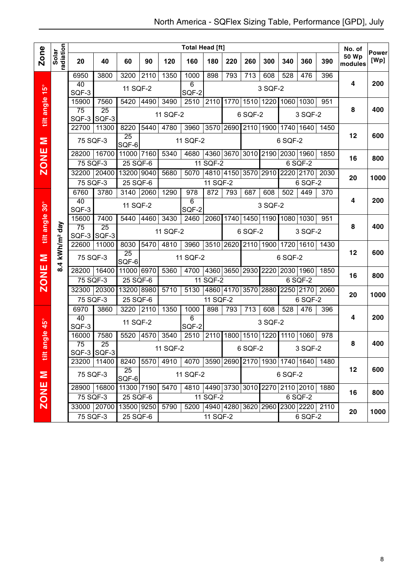|                |                    |                   |                 |                 |      |          | <b>Total Head [ft]</b>                       |                     |                     |                |                               |         |                |      | No. of           | <b>Power</b> |
|----------------|--------------------|-------------------|-----------------|-----------------|------|----------|----------------------------------------------|---------------------|---------------------|----------------|-------------------------------|---------|----------------|------|------------------|--------------|
| <b>Zone</b>    | radiation<br>Solar | 20                | 40              | 60              | 90   | 120      | 160                                          | 180                 | 220                 | 260            | 300                           | 340     | 360            | 390  | 50 Wp<br>modules | [Wp]         |
|                |                    | 6950              | 3800            | 3200            | 2110 | 1350     | 1000                                         | 898                 | 793                 | 713            | 608                           | 528     | 476            | 396  |                  |              |
|                |                    | 40<br>SQF-3       |                 | 11 SQF-2        |      |          | 6<br>SQF-2                                   |                     |                     |                | 3 SQF-2                       |         |                |      | 4                | 200          |
|                |                    | 15900             | 7560            | 5420            | 4490 | 3490     | 2510                                         | 2110                | 1770                |                | 1510 1220 1060 1030           |         |                | 951  |                  |              |
| tilt angle 15° |                    | 75<br>SQF-3 SQF-3 | $\overline{25}$ |                 |      | 11 SQF-2 |                                              |                     |                     | 6 SQF-2        |                               |         | 3 SQF-2        |      | 8                | 400          |
|                |                    | 22700             | 11300           | 8220            | 5440 | 4780     | 3960                                         | 3570 2690           |                     |                | 2110 1900 1740 1640           |         |                | 1450 |                  |              |
| Σ              |                    | 75 SQF-3          |                 | 25<br>SQF-6     |      |          | 11 SQF-2                                     |                     |                     |                |                               | 6 SQF-2 |                |      | 12               | 600          |
|                |                    | 28200             | 16700           | 11000 7160      |      | 5340     | 4680                                         |                     |                     |                | 4360 3670 3010 2190 2030 1960 |         |                | 1850 | 16               | 800          |
| <b>ZONE</b>    |                    | 75 SQF-3          |                 | $25$ SQF-6      |      |          |                                              | 11 SQF-2            |                     |                |                               |         | 6 SQF-2        |      |                  |              |
|                |                    | 32200             | 20400           | 13200 9040      |      | 5680     | 5070                                         |                     | 4810 4150 3570 2910 |                |                               |         | 2220 2170      | 2030 | 20               | 1000         |
|                |                    | 75 SQF-3          |                 | $25$ SQF-6      |      |          |                                              | 11 SQF-2            |                     |                |                               |         | 6 SQF-2        |      |                  |              |
|                |                    | 6760              | 3780            | 3140            | 2060 | 1290     | $\overline{978}$                             | 872                 | 793                 | 687            | 608                           | 502     | 449            | 370  |                  |              |
|                |                    | 40<br>SQF-3       |                 | 11 SQF-2        |      |          | $\overline{6}$<br>SQF-2                      |                     |                     |                | 3 SQF-2                       |         |                |      | 4                | 200          |
|                |                    | 15600             | 7400            | 5440            | 4460 | 3430     | 2460                                         | 2060                |                     |                | 1740 1450 1190 1080 1030      |         |                | 951  |                  |              |
| tilt angle 30° | day                | 75                | 25              |                 |      |          |                                              |                     |                     |                |                               |         |                |      | 8                | 400          |
|                |                    | $SQF-3$ SQF-3     |                 |                 |      | 11 SQF-2 |                                              |                     |                     | 6 SQF-2        |                               |         | 3 SQF-2        |      |                  |              |
|                | kWh/m <sup>2</sup> | 22600             | 11000           | 8030<br>25      | 5470 | 4810     | 3960                                         |                     | 3510 2620           | 2110           | 1900 1720                     |         | 1610           | 1430 | 12               | 600          |
| Σ              |                    | 75 SQF-3          |                 | SQF-6           |      |          | 11 SQF-2                                     |                     |                     |                |                               | 6 SQF-2 |                |      |                  |              |
| <b>ZONE</b>    | 8.4                | 28200 16400       |                 | 11000 6970      |      | 5360     | 4700 4360 3650 2930 2220 2030 1960           |                     |                     |                |                               |         |                | 1850 | 16               | 800          |
|                |                    | 75 SQF-3          |                 | 25 SQF-6        |      |          |                                              | 11 SQF-2            |                     |                |                               |         | 6 SQF-2        |      |                  |              |
|                |                    | 32300             | 20300           | 13200 8980      |      | 5710     | 5130                                         | 4860 4170 3570 2880 |                     |                |                               |         | 2250 2170 2060 |      | 20               | 1000         |
|                |                    | 75 SQF-3          |                 | $25$ SQF-6      |      |          |                                              | 11 SQF-2            |                     |                |                               |         | 6 SQF-2        |      |                  |              |
|                |                    | 6970              | 3860            | 3220 2110       |      | 1350     | 1000                                         | 898                 | 793                 | 713            | 608                           | 528     | 476            | 396  |                  |              |
| angle 45°      |                    | 40<br>SQF-3       |                 | 11 SQF-2        |      |          | 6<br>SQF-2                                   |                     |                     |                | 3 SQF-2                       |         |                |      | 4                | 200          |
|                |                    | 16000             | 7580            | 5520            | 4570 | 3540     | 2510                                         | 2110                |                     | 1800 1510 1220 |                               |         | 1110 1060      | 978  |                  |              |
|                |                    | 75                | 25              |                 |      | 11 SQF-2 |                                              |                     |                     | 6 SQF-2        |                               |         | 3 SQF-2        |      | 8                | 400          |
| 目              |                    | SQF-3 SQF-3       |                 |                 |      |          |                                              |                     |                     |                |                               |         |                |      |                  |              |
|                |                    | 23200 11400       |                 | 8240 5570<br>25 |      |          | 4910 4070 3590 2690 2170 1930 1740 1640 1480 |                     |                     |                |                               |         |                |      | 12               | 600          |
| $\mathbf{z}$   |                    | 75 SQF-3          |                 | SQF-6           |      |          | 11 SQF-2                                     |                     |                     |                |                               | 6 SQF-2 |                |      |                  |              |
|                |                    | 28900 16800       |                 | 11300 7190      |      | 5470     | 4810 4490 3730 3010 2270 2110 2010 1880      |                     |                     |                |                               |         |                |      | 16               | 800          |
| <b>ZONE</b>    |                    | 75 SQF-3          |                 | 25 SQF-6        |      |          |                                              | 11 SQF-2            |                     |                |                               |         | 6 SQF-2        |      |                  |              |
|                |                    | 33000 20700       |                 | 13500 9250      |      | 5790     | 5200 4940 4280 3620 2960 2300 2220 2110      |                     |                     |                |                               |         |                |      | 20               | 1000         |
|                |                    | 75 SQF-3          |                 | 25 SQF-6        |      |          |                                              | 11 SQF-2            |                     |                |                               |         | 6 SQF-2        |      |                  |              |